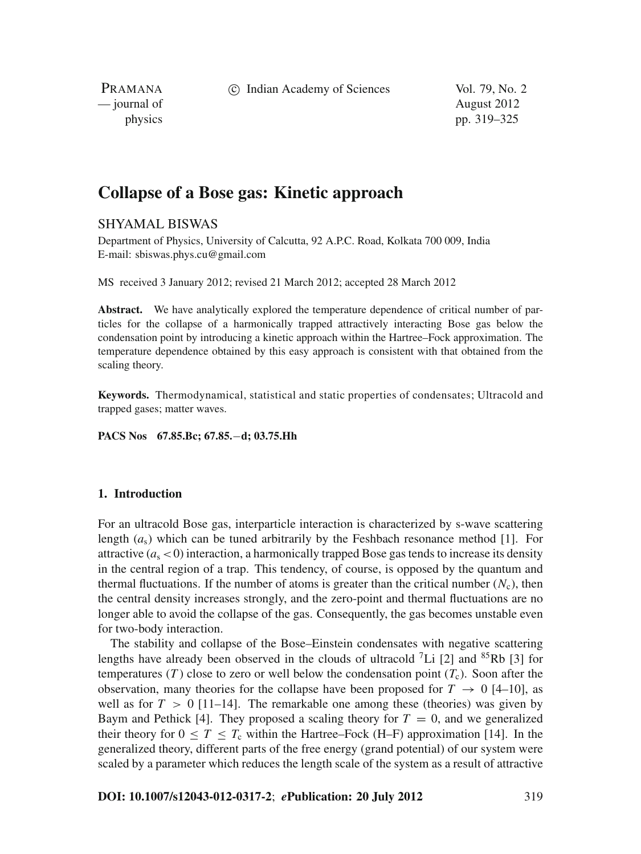c Indian Academy of Sciences Vol. 79, No. 2

PRAMANA — journal of August 2012

physics pp. 319–325

# **Collapse of a Bose gas: Kinetic approach**

## SHYAMAL BISWAS

Department of Physics, University of Calcutta, 92 A.P.C. Road, Kolkata 700 009, India E-mail: sbiswas.phys.cu@gmail.com

MS received 3 January 2012; revised 21 March 2012; accepted 28 March 2012

**Abstract.** We have analytically explored the temperature dependence of critical number of particles for the collapse of a harmonically trapped attractively interacting Bose gas below the condensation point by introducing a kinetic approach within the Hartree–Fock approximation. The temperature dependence obtained by this easy approach is consistent with that obtained from the scaling theory.

**Keywords.** Thermodynamical, statistical and static properties of condensates; Ultracold and trapped gases; matter waves.

**PACS Nos 67.85.Bc; 67.85.**−**d; 03.75.Hh**

## **1. Introduction**

For an ultracold Bose gas, interparticle interaction is characterized by s-wave scattering length  $(a<sub>s</sub>)$  which can be tuned arbitrarily by the Feshbach resonance method [1]. For attractive  $(a_s < 0)$  interaction, a harmonically trapped Bose gas tends to increase its density in the central region of a trap. This tendency, of course, is opposed by the quantum and thermal fluctuations. If the number of atoms is greater than the critical number  $(N_c)$ , then the central density increases strongly, and the zero-point and thermal fluctuations are no longer able to avoid the collapse of the gas. Consequently, the gas becomes unstable even for two-body interaction.

The stability and collapse of the Bose–Einstein condensates with negative scattering lengths have already been observed in the clouds of ultracold  $^7$ Li [2] and  $^{85}$ Rb [3] for temperatures (*T*) close to zero or well below the condensation point  $(T_c)$ . Soon after the observation, many theories for the collapse have been proposed for  $T \rightarrow 0$  [4–10], as well as for  $T > 0$  [11–14]. The remarkable one among these (theories) was given by Baym and Pethick [4]. They proposed a scaling theory for  $T = 0$ , and we generalized their theory for  $0 \leq T \leq T_c$  within the Hartree–Fock (H–F) approximation [14]. In the generalized theory, different parts of the free energy (grand potential) of our system were scaled by a parameter which reduces the length scale of the system as a result of attractive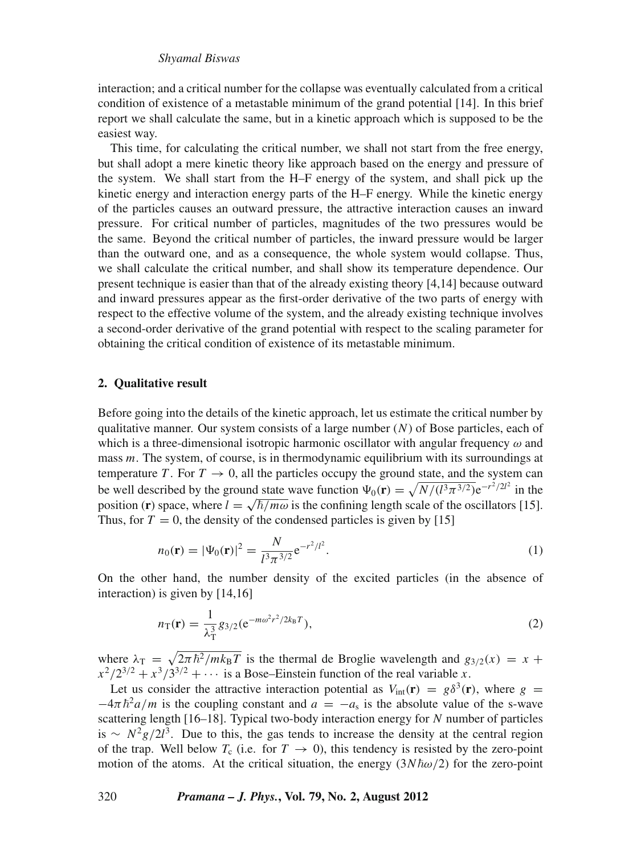## *Shyamal Biswas*

interaction; and a critical number for the collapse was eventually calculated from a critical condition of existence of a metastable minimum of the grand potential [14]. In this brief report we shall calculate the same, but in a kinetic approach which is supposed to be the easiest way.

This time, for calculating the critical number, we shall not start from the free energy, but shall adopt a mere kinetic theory like approach based on the energy and pressure of the system. We shall start from the H–F energy of the system, and shall pick up the kinetic energy and interaction energy parts of the H–F energy. While the kinetic energy of the particles causes an outward pressure, the attractive interaction causes an inward pressure. For critical number of particles, magnitudes of the two pressures would be the same. Beyond the critical number of particles, the inward pressure would be larger than the outward one, and as a consequence, the whole system would collapse. Thus, we shall calculate the critical number, and shall show its temperature dependence. Our present technique is easier than that of the already existing theory [4,14] because outward and inward pressures appear as the first-order derivative of the two parts of energy with respect to the effective volume of the system, and the already existing technique involves a second-order derivative of the grand potential with respect to the scaling parameter for obtaining the critical condition of existence of its metastable minimum.

#### **2. Qualitative result**

Before going into the details of the kinetic approach, let us estimate the critical number by qualitative manner. Our system consists of a large number (*N*) of Bose particles, each of which is a three-dimensional isotropic harmonic oscillator with angular frequency  $\omega$  and mass *m*. The system, of course, is in thermodynamic equilibrium with its surroundings at temperature *T*. For  $T \rightarrow 0$ , all the particles occupy the ground state, and the system can be well described by the ground state wave function  $\Psi_0(\mathbf{r}) = \sqrt{N/(l^3 \pi^{3/2})}e^{-r^2/2l^2}$  in the position (**r**) space, where  $l = \sqrt{\hbar/m\omega}$  is the confining length scale of the oscillators [15]. Thus, for  $T = 0$ , the density of the condensed particles is given by [15]

$$
n_0(\mathbf{r}) = |\Psi_0(\mathbf{r})|^2 = \frac{N}{l^3 \pi^{3/2}} e^{-r^2/l^2}.
$$
 (1)

On the other hand, the number density of the excited particles (in the absence of interaction) is given by [14,16]

$$
n_{\rm T}(\mathbf{r}) = \frac{1}{\lambda_{\rm T}^3} g_{3/2} (e^{-m\omega^2 r^2 / 2k_{\rm B}T}),
$$
\n(2)

where  $\lambda_T = \sqrt{2\pi\hbar^2/mk_BT}$  is the thermal de Broglie wavelength and  $g_{3/2}(x) = x +$  $x^2/2^{3/2} + x^3/3^{3/2} + \cdots$  is a Bose–Einstein function of the real variable *x*.

Let us consider the attractive interaction potential as  $V_{\text{int}}(\mathbf{r}) = g\delta^3(\mathbf{r})$ , where *g* =  $-4\pi \hbar^2 a/m$  is the coupling constant and  $a = -a_s$  is the absolute value of the s-wave scattering length [16–18]. Typical two-body interaction energy for *N* number of particles is  $\sim N^2 g / 2l^3$ . Due to this, the gas tends to increase the density at the central region of the trap. Well below  $T_c$  (i.e. for  $T \rightarrow 0$ ), this tendency is resisted by the zero-point motion of the atoms. At the critical situation, the energy  $(3N\hbar\omega/2)$  for the zero-point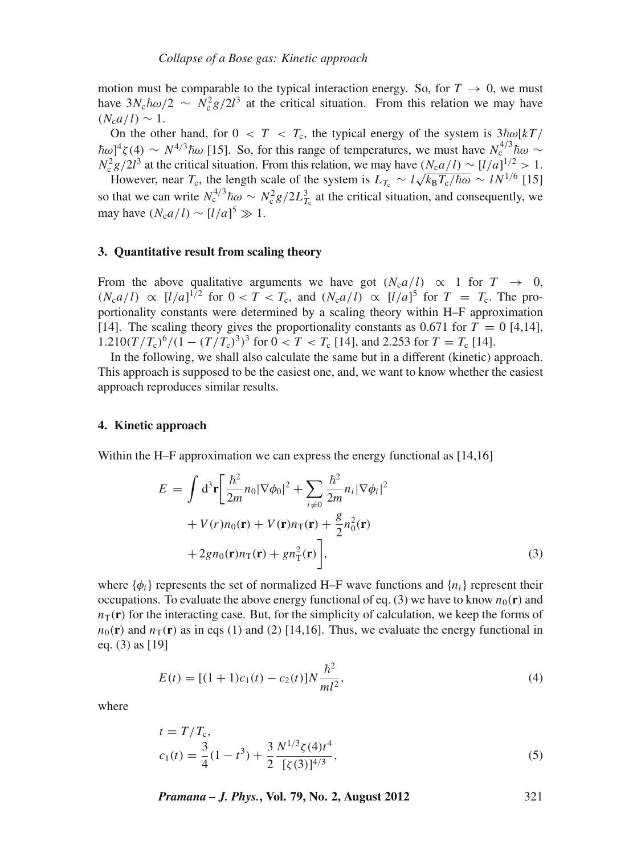motion must be comparable to the typical interaction energy. So, for  $T \to 0$ , we must have  $3N_c\hbar\omega/2 \sim N_c^2g/2l^3$  at the critical situation. From this relation we may have  $(N_c a/l) \sim 1$ .

On the other hand, for  $0 < T < T_c$ , the typical energy of the system is  $3\hbar\omega[kT/m]$  $\hbar \omega$ <sup>4</sup> $\zeta$ (4) ~  $N^{4/3} \hbar \omega$  [15]. So, for this range of temperatures, we must have  $N_c^{4/3} \hbar \omega$  ~  $N_c^2 g/2l^3$  at the critical situation. From this relation, we may have  $(N_c a/l) \sim [l/a]^{1/2} > 1$ .

However, near *T<sub>c</sub>*, the length scale of the system is  $L_{T_c} \sim l \sqrt{k_B T_c/\hbar \omega} \sim l N^{1/6}$  [15] so that we can write  $N_c^{4/3} \hbar \omega \sim N_c^2 g / 2L_{T_c}^3$  at the critical situation, and consequently, we may have  $(N_c a/l) \sim [l/a]^5 \gg 1$ .

## **3. Quantitative result from scaling theory**

From the above qualitative arguments we have got  $(N_c a/l) \propto 1$  for  $T \rightarrow 0$ ,  $(N_c a/l) \propto [l/a]^{1/2}$  for  $0 < T < T_c$ , and  $(N_c a/l) \propto [l/a]^5$  for  $T = T_c$ . The proportionality constants were determined by a scaling theory within H–F approximation [14]. The scaling theory gives the proportionality constants as  $0.671$  for  $T = 0$  [4,14],  $1.210(T/T_c)^6/(1-(T/T_c)^3)^3$  for  $0 < T < T_c$  [14], and 2.253 for  $T = T_c$  [14].

In the following, we shall also calculate the same but in a different (kinetic) approach. This approach is supposed to be the easiest one, and, we want to know whether the easiest approach reproduces similar results.

#### **4. Kinetic approach**

Within the H–F approximation we can express the energy functional as [14,16]

$$
E = \int d^3 \mathbf{r} \left[ \frac{\hbar^2}{2m} n_0 |\nabla \phi_0|^2 + \sum_{i \neq 0} \frac{\hbar^2}{2m} n_i |\nabla \phi_i|^2 + V(r) n_0(\mathbf{r}) + V(\mathbf{r}) n_\mathrm{T}(\mathbf{r}) + \frac{g}{2} n_0^2(\mathbf{r}) + 2gn_0(\mathbf{r}) n_\mathrm{T}(\mathbf{r}) + gn_\mathrm{T}^2(\mathbf{r}) \right],
$$
\n(3)

where  $\{\phi_i\}$  represents the set of normalized H–F wave functions and  $\{n_i\}$  represent their occupations. To evaluate the above energy functional of eq. (3) we have to know  $n_0(\mathbf{r})$  and  $n_{\rm T}(\bf{r})$  for the interacting case. But, for the simplicity of calculation, we keep the forms of  $n_0(\mathbf{r})$  and  $n_\text{T}(\mathbf{r})$  as in eqs (1) and (2) [14,16]. Thus, we evaluate the energy functional in eq. (3) as [19]

$$
E(t) = [(1+1)c_1(t) - c_2(t)]N\frac{\hbar^2}{ml^2},
$$
\n(4)

where

$$
t = T/T_c,
$$
  
\n
$$
c_1(t) = \frac{3}{4}(1 - t^3) + \frac{3}{2} \frac{N^{1/3}\zeta(4)t^4}{[\zeta(3)]^{4/3}},
$$
\n(5)

*Pramana – J. Phys.***, Vol. 79, No. 2, August 2012** 321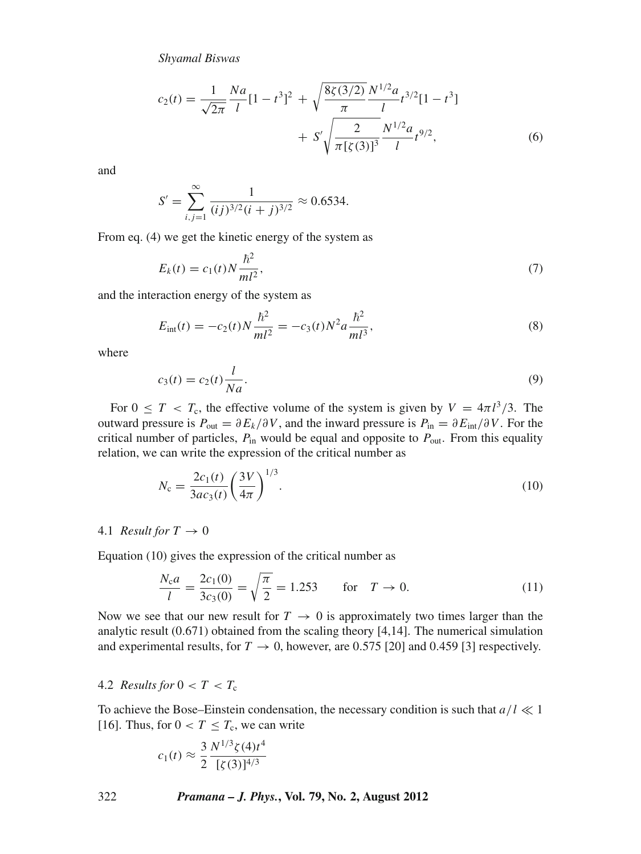*Shyamal Biswas*

$$
c_2(t) = \frac{1}{\sqrt{2\pi}} \frac{Na}{l} [1 - t^3]^2 + \sqrt{\frac{8\zeta(3/2)}{\pi}} \frac{N^{1/2} a}{l} t^{3/2} [1 - t^3] + S' \sqrt{\frac{2}{\pi [\zeta(3)]^3}} \frac{N^{1/2} a}{l} t^{9/2},
$$
\n(6)

and

$$
S' = \sum_{i,j=1}^{\infty} \frac{1}{(ij)^{3/2} (i+j)^{3/2}} \approx 0.6534.
$$

From eq. (4) we get the kinetic energy of the system as

$$
E_k(t) = c_1(t)N\frac{\hbar^2}{ml^2},
$$
\n(7)

and the interaction energy of the system as

$$
E_{\text{int}}(t) = -c_2(t)N\frac{\hbar^2}{ml^2} = -c_3(t)N^2a\frac{\hbar^2}{ml^3},\tag{8}
$$

where

$$
c_3(t) = c_2(t) \frac{l}{Na}.\tag{9}
$$

For  $0 \leq T < T_c$ , the effective volume of the system is given by  $V = 4\pi l^3/3$ . The outward pressure is  $P_{\text{out}} = \partial E_k / \partial V$ , and the inward pressure is  $P_{\text{in}} = \partial E_{\text{int}} / \partial V$ . For the critical number of particles,  $P_{in}$  would be equal and opposite to  $P_{out}$ . From this equality relation, we can write the expression of the critical number as

$$
N_{\rm c} = \frac{2c_1(t)}{3ac_3(t)} \left(\frac{3V}{4\pi}\right)^{1/3}.
$$
\n(10)

#### 4.1 *Result for*  $T \rightarrow 0$

Equation (10) gives the expression of the critical number as

$$
\frac{N_c a}{l} = \frac{2c_1(0)}{3c_3(0)} = \sqrt{\frac{\pi}{2}} = 1.253 \quad \text{for} \quad T \to 0. \tag{11}
$$

Now we see that our new result for  $T \to 0$  is approximately two times larger than the analytic result (0.671) obtained from the scaling theory [4,14]. The numerical simulation and experimental results, for  $T \rightarrow 0$ , however, are 0.575 [20] and 0.459 [3] respectively.

## 4.2 *Results for*  $0 < T < T_c$

To achieve the Bose–Einstein condensation, the necessary condition is such that  $a/l \ll 1$ [16]. Thus, for  $0 < T \leq T_c$ , we can write

$$
c_1(t) \approx \frac{3}{2} \frac{N^{1/3} \zeta(4) t^4}{[\zeta(3)]^{4/3}}
$$

322 *Pramana – J. Phys.***, Vol. 79, No. 2, August 2012**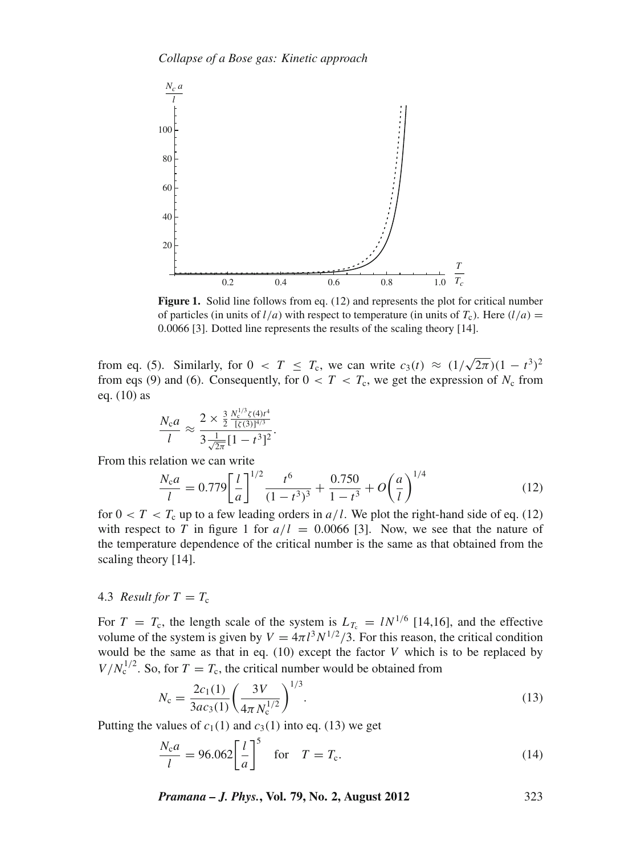

**Figure 1.** Solid line follows from eq. (12) and represents the plot for critical number of particles (in units of  $l/a$ ) with respect to temperature (in units of  $T_c$ ). Here  $(l/a)$  = 0.0066 [3]. Dotted line represents the results of the scaling theory [14].

from eq. (5). Similarly, for  $0 < T \leq T_c$ , we can write  $c_3(t) \approx (1/\sqrt{2\pi})(1-t^3)^2$ from eqs (9) and (6). Consequently, for  $0 < T < T_c$ , we get the expression of  $N_c$  from eq. (10) as

$$
\frac{N_c a}{l} \approx \frac{2 \times \frac{3}{2} \frac{N_c^{1/3} \zeta(4) t^4}{\left[\zeta(3)\right]^{4/3}}}{3 \frac{1}{\sqrt{2\pi}} [1 - t^3]^2}.
$$

From this relation we can write

$$
\frac{N_c a}{l} = 0.779 \left[ \frac{l}{a} \right]^{1/2} \frac{t^6}{(1 - t^3)^3} + \frac{0.750}{1 - t^3} + O\left(\frac{a}{l}\right)^{1/4} \tag{12}
$$

for  $0 < T < T_c$  up to a few leading orders in  $a/l$ . We plot the right-hand side of eq. (12) with respect to *T* in figure 1 for  $a/l = 0.0066$  [3]. Now, we see that the nature of the temperature dependence of the critical number is the same as that obtained from the scaling theory [14].

#### 4.3 *Result for*  $T = T_c$

For  $T = T_c$ , the length scale of the system is  $L_{T_c} = l N^{1/6}$  [14,16], and the effective volume of the system is given by  $V = 4\pi l^3 N^{1/2}/3$ . For this reason, the critical condition would be the same as that in eq. (10) except the factor *V* which is to be replaced by  $V/N_c^{1/2}$ . So, for  $T = T_c$ , the critical number would be obtained from

$$
N_{\rm c} = \frac{2c_1(1)}{3ac_3(1)} \left(\frac{3V}{4\pi N_{\rm c}^{1/2}}\right)^{1/3}.\tag{13}
$$

Putting the values of  $c_1(1)$  and  $c_3(1)$  into eq. (13) we get

$$
\frac{N_c a}{l} = 96.062 \left[ \frac{l}{a} \right]^5 \quad \text{for} \quad T = T_c. \tag{14}
$$

*Pramana – J. Phys.***, Vol. 79, No. 2, August 2012** 323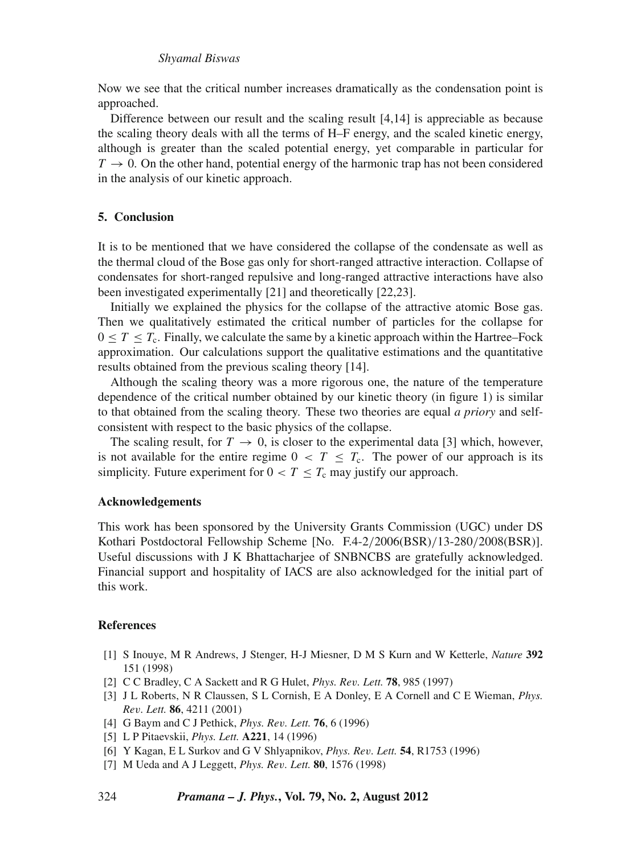#### *Shyamal Biswas*

Now we see that the critical number increases dramatically as the condensation point is approached.

Difference between our result and the scaling result [4,14] is appreciable as because the scaling theory deals with all the terms of H–F energy, and the scaled kinetic energy, although is greater than the scaled potential energy, yet comparable in particular for  $T \rightarrow 0$ . On the other hand, potential energy of the harmonic trap has not been considered in the analysis of our kinetic approach.

## **5. Conclusion**

It is to be mentioned that we have considered the collapse of the condensate as well as the thermal cloud of the Bose gas only for short-ranged attractive interaction. Collapse of condensates for short-ranged repulsive and long-ranged attractive interactions have also been investigated experimentally [21] and theoretically [22,23].

Initially we explained the physics for the collapse of the attractive atomic Bose gas. Then we qualitatively estimated the critical number of particles for the collapse for  $0 \leq T \leq T_c$ . Finally, we calculate the same by a kinetic approach within the Hartree–Fock approximation. Our calculations support the qualitative estimations and the quantitative results obtained from the previous scaling theory [14].

Although the scaling theory was a more rigorous one, the nature of the temperature dependence of the critical number obtained by our kinetic theory (in figure 1) is similar to that obtained from the scaling theory. These two theories are equal *a priory* and selfconsistent with respect to the basic physics of the collapse.

The scaling result, for  $T \to 0$ , is closer to the experimental data [3] which, however, is not available for the entire regime  $0 < T \leq T_c$ . The power of our approach is its simplicity. Future experiment for  $0 < T \leq T_c$  may justify our approach.

## **Acknowledgements**

This work has been sponsored by the University Grants Commission (UGC) under DS Kothari Postdoctoral Fellowship Scheme [No. F.4-2/2006(BSR)/13-280/2008(BSR)]. Useful discussions with J K Bhattacharjee of SNBNCBS are gratefully acknowledged. Financial support and hospitality of IACS are also acknowledged for the initial part of this work.

#### **References**

- [1] S Inouye, M R Andrews, J Stenger, H-J Miesner, D M S Kurn and W Ketterle, *Nature* **392** 151 (1998)
- [2] C C Bradley, C A Sackett and R G Hulet, *Phys. Re*v*. Lett.* **78**, 985 (1997)
- [3] J L Roberts, N R Claussen, S L Cornish, E A Donley, E A Cornell and C E Wieman, *Phys. Re*v*. Lett.* **86**, 4211 (2001)
- [4] G Baym and C J Pethick, *Phys. Re*v*. Lett.* **76**, 6 (1996)
- [5] L P Pitaevskii, *Phys. Lett.* **A221**, 14 (1996)
- [6] Y Kagan, E L Surkov and G V Shlyapnikov, *Phys. Re*v*. Lett.* **54**, R1753 (1996)
- [7] M Ueda and A J Leggett, *Phys. Re*v*. Lett.* **80**, 1576 (1998)